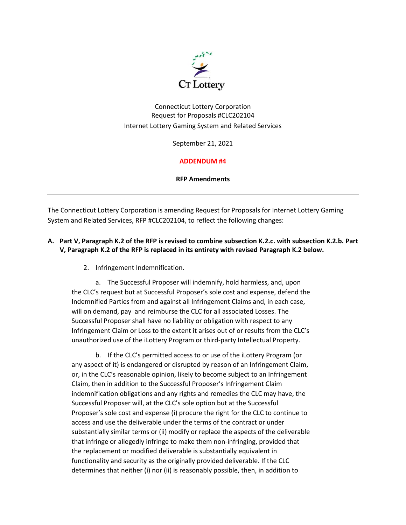

Connecticut Lottery Corporation Request for Proposals #CLC202104 Internet Lottery Gaming System and Related Services

September 21, 2021

## **ADDENDUM #4**

**RFP Amendments**

The Connecticut Lottery Corporation is amending Request for Proposals for Internet Lottery Gaming System and Related Services, RFP #CLC202104, to reflect the following changes:

## **A. Part V, Paragraph K.2 of the RFP is revised to combine subsection K.2.c. with subsection K.2.b. Part V, Paragraph K.2 of the RFP is replaced in its entirety with revised Paragraph K.2 below.**

2. Infringement Indemnification.

a. The Successful Proposer will indemnify, hold harmless, and, upon the CLC's request but at Successful Proposer's sole cost and expense, defend the Indemnified Parties from and against all Infringement Claims and, in each case, will on demand, pay and reimburse the CLC for all associated Losses. The Successful Proposer shall have no liability or obligation with respect to any Infringement Claim or Loss to the extent it arises out of or results from the CLC's unauthorized use of the iLottery Program or third-party Intellectual Property.

b. If the CLC's permitted access to or use of the iLottery Program (or any aspect of it) is endangered or disrupted by reason of an Infringement Claim, or, in the CLC's reasonable opinion, likely to become subject to an Infringement Claim, then in addition to the Successful Proposer's Infringement Claim indemnification obligations and any rights and remedies the CLC may have, the Successful Proposer will, at the CLC's sole option but at the Successful Proposer's sole cost and expense (i) procure the right for the CLC to continue to access and use the deliverable under the terms of the contract or under substantially similar terms or (ii) modify or replace the aspects of the deliverable that infringe or allegedly infringe to make them non-infringing, provided that the replacement or modified deliverable is substantially equivalent in functionality and security as the originally provided deliverable. If the CLC determines that neither (i) nor (ii) is reasonably possible, then, in addition to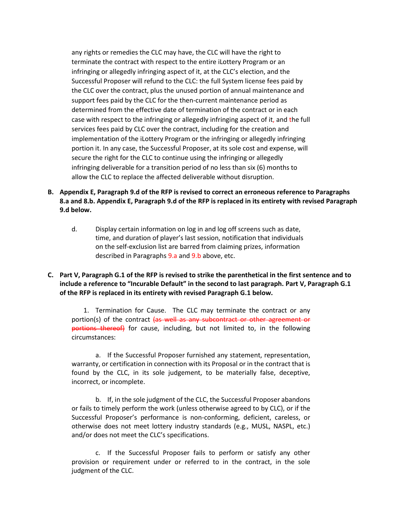any rights or remedies the CLC may have, the CLC will have the right to terminate the contract with respect to the entire iLottery Program or an infringing or allegedly infringing aspect of it, at the CLC's election, and the Successful Proposer will refund to the CLC: the full System license fees paid by the CLC over the contract, plus the unused portion of annual maintenance and support fees paid by the CLC for the then-current maintenance period as determined from the effective date of termination of the contract or in each case with respect to the infringing or allegedly infringing aspect of it, and the full services fees paid by CLC over the contract, including for the creation and implementation of the iLottery Program or the infringing or allegedly infringing portion it. In any case, the Successful Proposer, at its sole cost and expense, will secure the right for the CLC to continue using the infringing or allegedly infringing deliverable for a transition period of no less than six (6) months to allow the CLC to replace the affected deliverable without disruption.

- **B. Appendix E, Paragraph 9.d of the RFP is revised to correct an erroneous reference to Paragraphs 8.a and 8.b. Appendix E, Paragraph 9.d of the RFP is replaced in its entirety with revised Paragraph 9.d below.**
	- d. Display certain information on log in and log off screens such as date, time, and duration of player's last session, notification that individuals on the self-exclusion list are barred from claiming prizes, information described in Paragraphs 9.a and 9.b above, etc.
- **C. Part V, Paragraph G.1 of the RFP is revised to strike the parenthetical in the first sentence and to include a reference to "Incurable Default" in the second to last paragraph. Part V, Paragraph G.1 of the RFP is replaced in its entirety with revised Paragraph G.1 below.**

1. Termination for Cause. The CLC may terminate the contract or any portion(s) of the contract (as well as any subcontract or other agreement or portions thereof) for cause, including, but not limited to, in the following circumstances:

a. If the Successful Proposer furnished any statement, representation, warranty, or certification in connection with its Proposal or in the contract that is found by the CLC, in its sole judgement, to be materially false, deceptive, incorrect, or incomplete.

b. If, in the sole judgment of the CLC, the Successful Proposer abandons or fails to timely perform the work (unless otherwise agreed to by CLC), or if the Successful Proposer's performance is non-conforming, deficient, careless, or otherwise does not meet lottery industry standards (e.g., MUSL, NASPL, etc.) and/or does not meet the CLC's specifications.

c. If the Successful Proposer fails to perform or satisfy any other provision or requirement under or referred to in the contract, in the sole judgment of the CLC.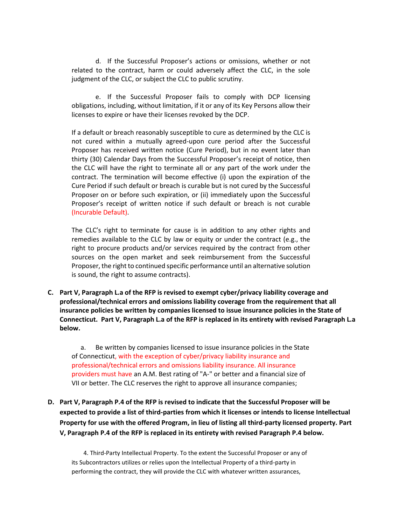d. If the Successful Proposer's actions or omissions, whether or not related to the contract, harm or could adversely affect the CLC, in the sole judgment of the CLC, or subject the CLC to public scrutiny.

e. If the Successful Proposer fails to comply with DCP licensing obligations, including, without limitation, if it or any of its Key Persons allow their licenses to expire or have their licenses revoked by the DCP.

If a default or breach reasonably susceptible to cure as determined by the CLC is not cured within a mutually agreed-upon cure period after the Successful Proposer has received written notice (Cure Period), but in no event later than thirty (30) Calendar Days from the Successful Proposer's receipt of notice, then the CLC will have the right to terminate all or any part of the work under the contract. The termination will become effective (i) upon the expiration of the Cure Period if such default or breach is curable but is not cured by the Successful Proposer on or before such expiration, or (ii) immediately upon the Successful Proposer's receipt of written notice if such default or breach is not curable (Incurable Default).

The CLC's right to terminate for cause is in addition to any other rights and remedies available to the CLC by law or equity or under the contract (e.g., the right to procure products and/or services required by the contract from other sources on the open market and seek reimbursement from the Successful Proposer, the right to continued specific performance until an alternative solution is sound, the right to assume contracts).

**C. Part V, Paragraph L.a of the RFP is revised to exempt cyber/privacy liability coverage and professional/technical errors and omissions liability coverage from the requirement that all insurance policies be written by companies licensed to issue insurance policies in the State of Connecticut. Part V, Paragraph L.a of the RFP is replaced in its entirety with revised Paragraph L.a below.**

a. Be written by companies licensed to issue insurance policies in the State of Connecticut, with the exception of cyber/privacy liability insurance and professional/technical errors and omissions liability insurance. All insurance providers must have an A.M. Best rating of "A-" or better and a financial size of VII or better. The CLC reserves the right to approve all insurance companies;

**D. Part V, Paragraph P.4 of the RFP is revised to indicate that the Successful Proposer will be expected to provide a list of third-parties from which it licenses or intends to license Intellectual Property for use with the offered Program, in lieu of listing all third-party licensed property. Part V, Paragraph P.4 of the RFP is replaced in its entirety with revised Paragraph P.4 below.**

4. Third-Party Intellectual Property. To the extent the Successful Proposer or any of its Subcontractors utilizes or relies upon the Intellectual Property of a third-party in performing the contract, they will provide the CLC with whatever written assurances,